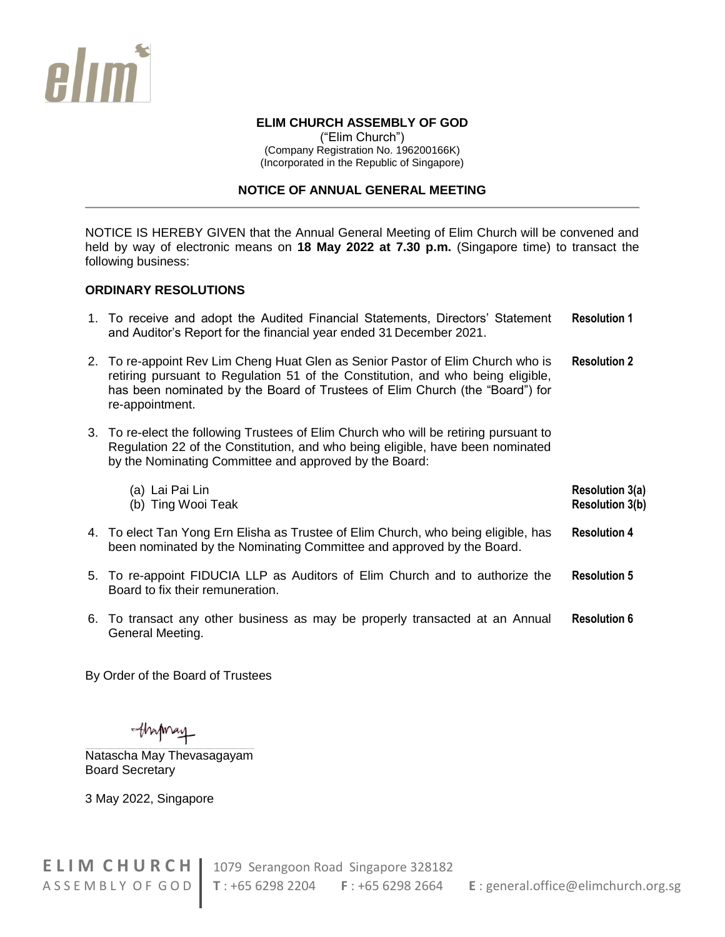

### **ELIM CHURCH ASSEMBLY OF GOD**

("Elim Church") (Company Registration No. 196200166K) (Incorporated in the Republic of Singapore)

#### **NOTICE OF ANNUAL GENERAL MEETING**

NOTICE IS HEREBY GIVEN that the Annual General Meeting of Elim Church will be convened and held by way of electronic means on **18 May 2022 at 7.30 p.m.** (Singapore time) to transact the following business:

## **ORDINARY RESOLUTIONS**

- 1. To receive and adopt the Audited Financial Statements, Directors' Statement and Auditor's Report for the financial year ended 31 December 2021. **Resolution 1**
- 2. To re-appoint Rev Lim Cheng Huat Glen as Senior Pastor of Elim Church who is retiring pursuant to Regulation 51 of the Constitution, and who being eligible, has been nominated by the Board of Trustees of Elim Church (the "Board") for re-appointment. **Resolution 2**
- 3. To re-elect the following Trustees of Elim Church who will be retiring pursuant to Regulation 22 of the Constitution, and who being eligible, have been nominated by the Nominating Committee and approved by the Board:

| (a) Lai Pai Lin    | <b>Resolution 3(a)</b> |
|--------------------|------------------------|
| (b) Ting Wooi Teak | <b>Resolution 3(b)</b> |
|                    |                        |

- 4. To elect Tan Yong Ern Elisha as Trustee of Elim Church, who being eligible, has been nominated by the Nominating Committee and approved by the Board. **Resolution 4**
- 5. To re-appoint FIDUCIA LLP as Auditors of Elim Church and to authorize the Board to fix their remuneration. **Resolution 5**
- 6. To transact any other business as may be properly transacted at an Annual General Meeting. **Resolution 6**

By Order of the Board of Trustees

thapmay

Natascha May Thevasagayam Board Secretary

3 May 2022, Singapore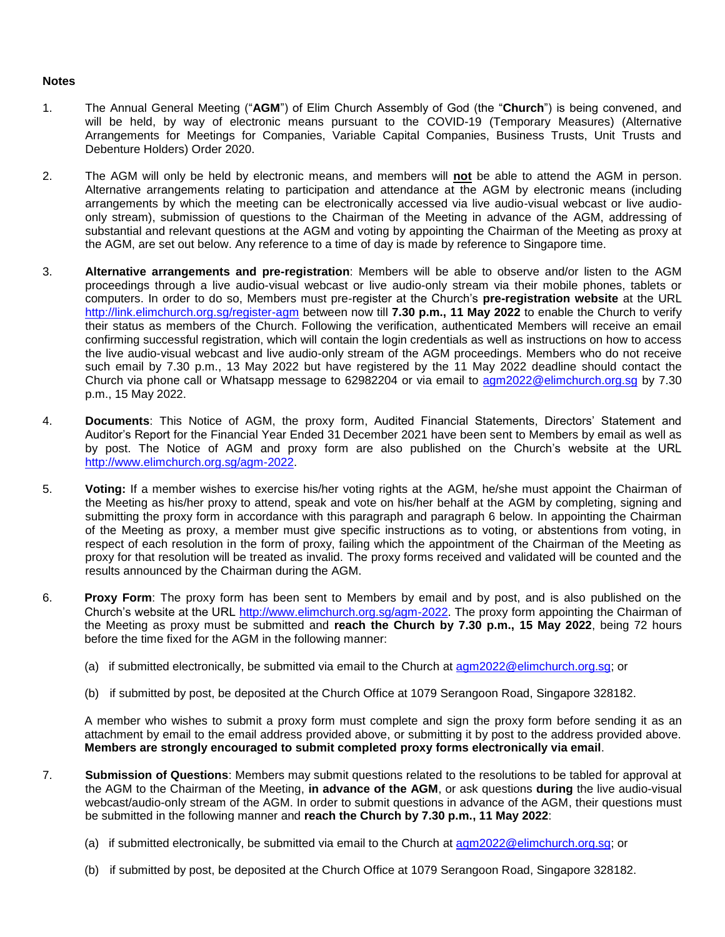#### **Notes**

- 1. The Annual General Meeting ("**AGM**") of Elim Church Assembly of God (the "**Church**") is being convened, and will be held, by way of electronic means pursuant to the COVID-19 (Temporary Measures) (Alternative Arrangements for Meetings for Companies, Variable Capital Companies, Business Trusts, Unit Trusts and Debenture Holders) Order 2020.
- 2. The AGM will only be held by electronic means, and members will **not** be able to attend the AGM in person. Alternative arrangements relating to participation and attendance at the AGM by electronic means (including arrangements by which the meeting can be electronically accessed via live audio-visual webcast or live audioonly stream), submission of questions to the Chairman of the Meeting in advance of the AGM, addressing of substantial and relevant questions at the AGM and voting by appointing the Chairman of the Meeting as proxy at the AGM, are set out below. Any reference to a time of day is made by reference to Singapore time.
- 3. **Alternative arrangements and pre-registration**: Members will be able to observe and/or listen to the AGM proceedings through a live audio-visual webcast or live audio-only stream via their mobile phones, tablets or computers. In order to do so, Members must pre-register at the Church's **pre-registration website** at the URL <http://link.elimchurch.org.sg/register-agm> between now till **7.30 p.m., 11 May 2022** to enable the Church to verify their status as members of the Church. Following the verification, authenticated Members will receive an email confirming successful registration, which will contain the login credentials as well as instructions on how to access the live audio-visual webcast and live audio-only stream of the AGM proceedings. Members who do not receive such email by 7.30 p.m., 13 May 2022 but have registered by the 11 May 2022 deadline should contact the Church via phone call or Whatsapp message to 62982204 or via email to [agm2022@elimchurch.org.sg](mailto:agm2022@elimchurch.org.sg) by 7.30 p.m., 15 May 2022.
- 4. **Documents**: This Notice of AGM, the proxy form, Audited Financial Statements, Directors' Statement and Auditor's Report for the Financial Year Ended 31 December 2021 have been sent to Members by email as well as by post. The Notice of AGM and proxy form are also published on the Church's website at the URL [http://www.elimchurch.org.sg/agm-2022.](http://www.elimchurch.org.sg/agm-2022)
- 5. **Voting:** If a member wishes to exercise his/her voting rights at the AGM, he/she must appoint the Chairman of the Meeting as his/her proxy to attend, speak and vote on his/her behalf at the AGM by completing, signing and submitting the proxy form in accordance with this paragraph and paragraph 6 below. In appointing the Chairman of the Meeting as proxy, a member must give specific instructions as to voting, or abstentions from voting, in respect of each resolution in the form of proxy, failing which the appointment of the Chairman of the Meeting as proxy for that resolution will be treated as invalid. The proxy forms received and validated will be counted and the results announced by the Chairman during the AGM.
- 6. **Proxy Form**: The proxy form has been sent to Members by email and by post, and is also published on the Church's website at the URL [http://www.elimchurch.org.sg/agm-2022.](http://www.elimchurch.org.sg/agm-2022) The proxy form appointing the Chairman of the Meeting as proxy must be submitted and **reach the Church by 7.30 p.m., 15 May 2022**, being 72 hours before the time fixed for the AGM in the following manner:
	- (a) if submitted electronically, be submitted via email to the Church at [agm2022@elimchurch.org.sg;](mailto:agm2022@elimchurch.org.sg) or
	- (b) if submitted by post, be deposited at the Church Office at 1079 Serangoon Road, Singapore 328182.

A member who wishes to submit a proxy form must complete and sign the proxy form before sending it as an attachment by email to the email address provided above, or submitting it by post to the address provided above. **Members are strongly encouraged to submit completed proxy forms electronically via email**.

- 7. **Submission of Questions**: Members may submit questions related to the resolutions to be tabled for approval at the AGM to the Chairman of the Meeting, **in advance of the AGM**, or ask questions **during** the live audio-visual webcast/audio-only stream of the AGM. In order to submit questions in advance of the AGM, their questions must be submitted in the following manner and **reach the Church by 7.30 p.m., 11 May 2022**:
	- (a) if submitted electronically, be submitted via email to the Church at [agm2022@elimchurch.org.sg;](mailto:agm2022@elimchurch.org.sg) or
	- (b) if submitted by post, be deposited at the Church Office at 1079 Serangoon Road, Singapore 328182.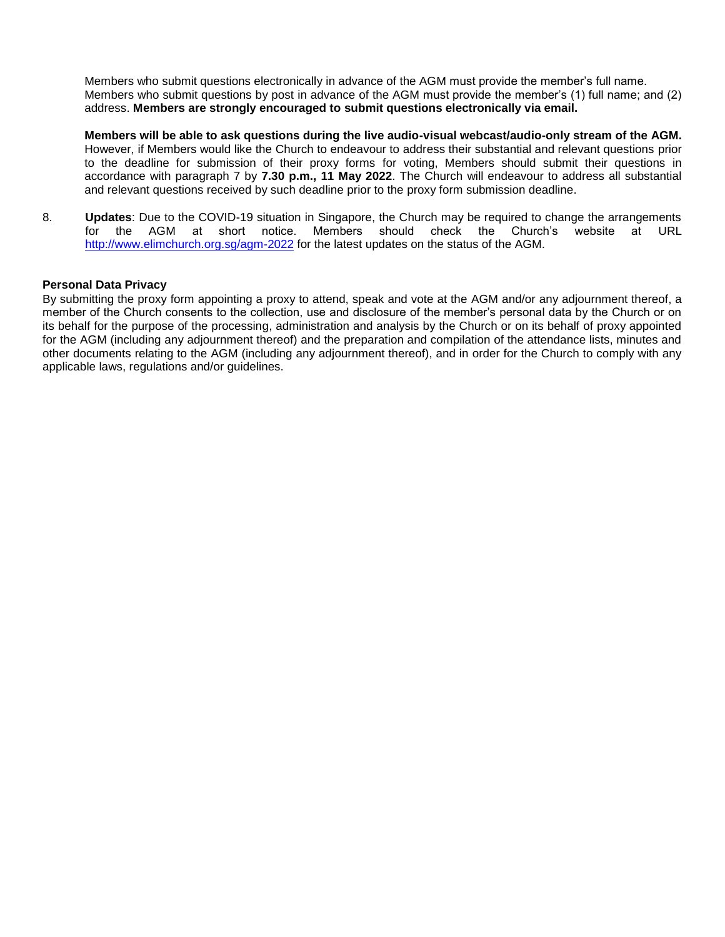Members who submit questions electronically in advance of the AGM must provide the member's full name. Members who submit questions by post in advance of the AGM must provide the member's (1) full name; and (2) address. **Members are strongly encouraged to submit questions electronically via email.**

**Members will be able to ask questions during the live audio-visual webcast/audio-only stream of the AGM.**  However, if Members would like the Church to endeavour to address their substantial and relevant questions prior to the deadline for submission of their proxy forms for voting, Members should submit their questions in accordance with paragraph 7 by **7.30 p.m., 11 May 2022**. The Church will endeavour to address all substantial and relevant questions received by such deadline prior to the proxy form submission deadline.

8. **Updates**: Due to the COVID-19 situation in Singapore, the Church may be required to change the arrangements for the AGM at short notice. Members should check the Church's website at URL <http://www.elimchurch.org.sg/agm-2022> for the latest updates on the status of the AGM.

#### **Personal Data Privacy**

By submitting the proxy form appointing a proxy to attend, speak and vote at the AGM and/or any adjournment thereof, a member of the Church consents to the collection, use and disclosure of the member's personal data by the Church or on its behalf for the purpose of the processing, administration and analysis by the Church or on its behalf of proxy appointed for the AGM (including any adjournment thereof) and the preparation and compilation of the attendance lists, minutes and other documents relating to the AGM (including any adjournment thereof), and in order for the Church to comply with any applicable laws, regulations and/or guidelines.